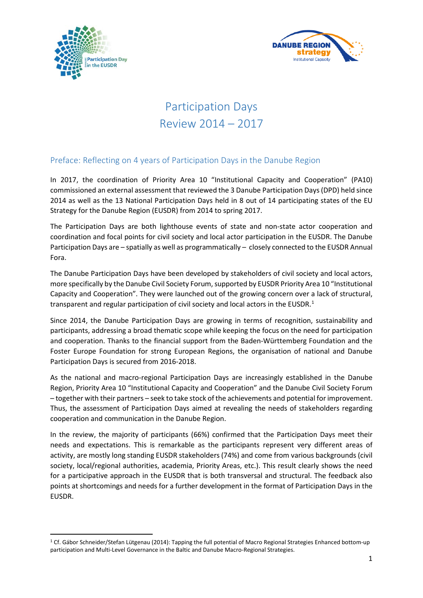



# Participation Days Review 2014 – 2017

# Preface: Reflecting on 4 years of Participation Days in the Danube Region

In 2017, the coordination of Priority Area 10 "Institutional Capacity and Cooperation" (PA10) commissioned an external assessment that reviewed the 3 Danube Participation Days (DPD) held since 2014 as well as the 13 National Participation Days held in 8 out of 14 participating states of the EU Strategy for the Danube Region (EUSDR) from 2014 to spring 2017.

The Participation Days are both lighthouse events of state and non-state actor cooperation and coordination and focal points for civil society and local actor participation in the EUSDR. The Danube Participation Days are – spatially as well as programmatically – closely connected to the EUSDR Annual Fora.

The Danube Participation Days have been developed by stakeholders of civil society and local actors, more specifically by the Danube Civil Society Forum, supported by EUSDR Priority Area 10 "Institutional Capacity and Cooperation". They were launched out of the growing concern over a lack of structural, transparent and regular participation of civil society and local actors in the EUSDR.<sup>[1](#page-0-0)</sup>

Since 2014, the Danube Participation Days are growing in terms of recognition, sustainability and participants, addressing a broad thematic scope while keeping the focus on the need for participation and cooperation. Thanks to the financial support from the Baden-Württemberg Foundation and the Foster Europe Foundation for strong European Regions, the organisation of national and Danube Participation Days is secured from 2016-2018.

As the national and macro-regional Participation Days are increasingly established in the Danube Region, Priority Area 10 "Institutional Capacity and Cooperation" and the Danube Civil Society Forum – together with their partners – seek to take stock of the achievements and potential for improvement. Thus, the assessment of Participation Days aimed at revealing the needs of stakeholders regarding cooperation and communication in the Danube Region.

In the review, the majority of participants (66%) confirmed that the Participation Days meet their needs and expectations. This is remarkable as the participants represent very different areas of activity, are mostly long standing EUSDR stakeholders (74%) and come from various backgrounds (civil society, local/regional authorities, academia, Priority Areas, etc.). This result clearly shows the need for a participative approach in the EUSDR that is both transversal and structural. The feedback also points at shortcomings and needs for a further development in the format of Participation Days in the EUSDR.

<span id="page-0-0"></span> <sup>1</sup> Cf. Gábor Schneider/Stefan Lütgenau (2014): Tapping the full potential of Macro Regional Strategies Enhanced bottom-up participation and Multi-Level Governance in the Baltic and Danube Macro-Regional Strategies.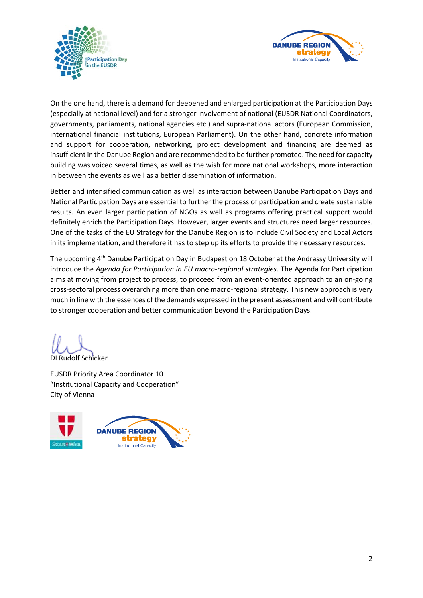



On the one hand, there is a demand for deepened and enlarged participation at the Participation Days (especially at national level) and for a stronger involvement of national (EUSDR National Coordinators, governments, parliaments, national agencies etc.) and supra-national actors (European Commission, international financial institutions, European Parliament). On the other hand, concrete information and support for cooperation, networking, project development and financing are deemed as insufficient in the Danube Region and are recommended to be further promoted. The need for capacity building was voiced several times, as well as the wish for more national workshops, more interaction in between the events as well as a better dissemination of information.

Better and intensified communication as well as interaction between Danube Participation Days and National Participation Days are essential to further the process of participation and create sustainable results. An even larger participation of NGOs as well as programs offering practical support would definitely enrich the Participation Days. However, larger events and structures need larger resources. One of the tasks of the EU Strategy for the Danube Region is to include Civil Society and Local Actors in its implementation, and therefore it has to step up its efforts to provide the necessary resources.

The upcoming 4th Danube Participation Day in Budapest on 18 October at the Andrassy University will introduce the *Agenda for Participation in EU macro-regional strategies*. The Agenda for Participation aims at moving from project to process, to proceed from an event-oriented approach to an on-going cross-sectoral process overarching more than one macro-regional strategy. This new approach is very much in line with the essences of the demands expressed in the present assessment and will contribute to stronger cooperation and better communication beyond the Participation Days.

DI Rudolf Schicker

EUSDR Priority Area Coordinator 10 "Institutional Capacity and Cooperation" City of Vienna

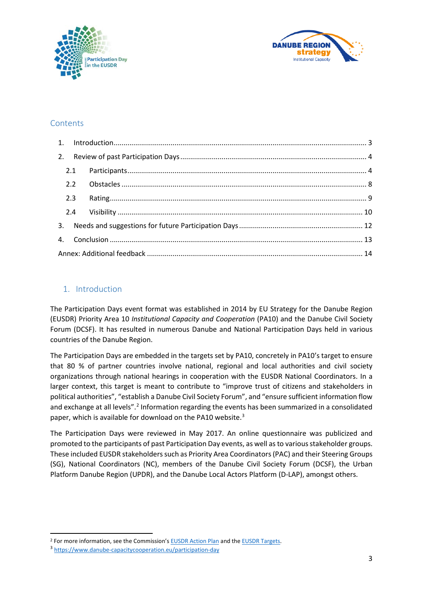



# **Contents**

| 2.3 |  |  |  |
|-----|--|--|--|
|     |  |  |  |
|     |  |  |  |
|     |  |  |  |
|     |  |  |  |

# <span id="page-2-0"></span>1. Introduction

The Participation Days event format was established in 2014 by EU Strategy for the Danube Region (EUSDR) Priority Area 10 *Institutional Capacity and Cooperation* (PA10) and the Danube Civil Society Forum (DCSF). It has resulted in numerous Danube and National Participation Days held in various countries of the Danube Region.

The Participation Days are embedded in the targets set by PA10, concretely in PA10's target to ensure that 80 % of partner countries involve national, regional and local authorities and civil society organizations through national hearings in cooperation with the EUSDR National Coordinators. In a larger context, this target is meant to contribute to "improve trust of citizens and stakeholders in political authorities", "establish a Danube Civil Society Forum", and "ensure sufficient information flow and exchange at all levels".<sup>[2](#page-2-1)</sup> Information regarding the events has been summarized in a consolidated paper, which is available for download on the PA10 website.<sup>[3](#page-2-2)</sup>

The Participation Days were reviewed in May 2017. An online questionnaire was publicized and promoted to the participants of past Participation Day events, as well as to various stakeholder groups. These included EUSDR stakeholders such as Priority Area Coordinators (PAC) and their Steering Groups (SG), National Coordinators (NC), members of the Danube Civil Society Forum (DCSF), the Urban Platform Danube Region (UPDR), and the Danube Local Actors Platform (D-LAP), amongst others.

<span id="page-2-1"></span><sup>&</sup>lt;sup>2</sup> For more information, see the Commission's **EUSDR** Action Plan and th[e EUSDR Targets.](https://www.danube-region.eu/about/our-targets)

<span id="page-2-2"></span><sup>3</sup> <https://www.danube-capacitycooperation.eu/participation-day>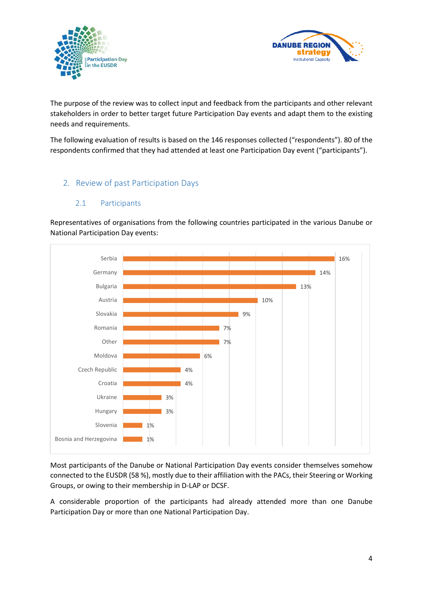



The purpose of the review was to collect input and feedback from the participants and other relevant stakeholders in order to better target future Participation Day events and adapt them to the existing needs and requirements.

The following evaluation of results is based on the 146 responses collected ("respondents"). 80 of the respondents confirmed that they had attended at least one Participation Day event ("participants").

# <span id="page-3-0"></span>2. Review of past Participation Days

#### 2.1 Participants

<span id="page-3-1"></span>Representatives of organisations from the following countries participated in the various Danube or National Participation Day events:



Most participants of the Danube or National Participation Day events consider themselves somehow connected to the EUSDR (58 %), mostly due to their affiliation with the PACs, their Steering or Working Groups, or owing to their membership in D-LAP or DCSF.

A considerable proportion of the participants had already attended more than one Danube Participation Day or more than one National Participation Day.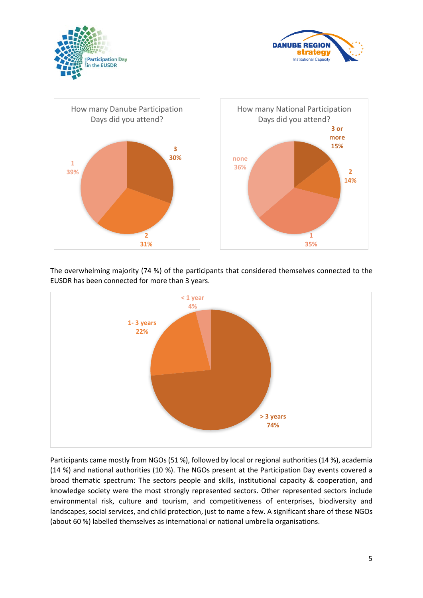





The overwhelming majority (74 %) of the participants that considered themselves connected to the EUSDR has been connected for more than 3 years.



Participants came mostly from NGOs (51 %), followed by local or regional authorities (14 %), academia (14 %) and national authorities (10 %). The NGOs present at the Participation Day events covered a broad thematic spectrum: The sectors people and skills, institutional capacity & cooperation, and knowledge society were the most strongly represented sectors. Other represented sectors include environmental risk, culture and tourism, and competitiveness of enterprises, biodiversity and landscapes, social services, and child protection, just to name a few. A significant share of these NGOs (about 60 %) labelled themselves as international or national umbrella organisations.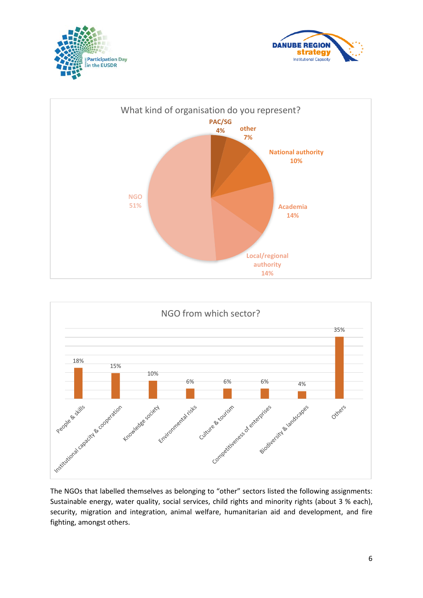







The NGOs that labelled themselves as belonging to "other" sectors listed the following assignments: Sustainable energy, water quality, social services, child rights and minority rights (about 3 % each), security, migration and integration, animal welfare, humanitarian aid and development, and fire fighting, amongst others.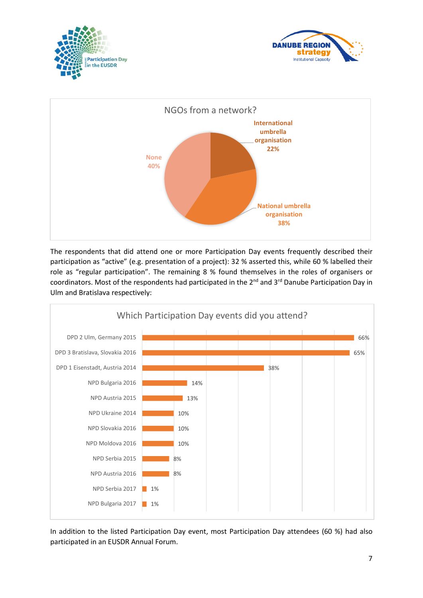





The respondents that did attend one or more Participation Day events frequently described their participation as "active" (e.g. presentation of a project): 32 % asserted this, while 60 % labelled their role as "regular participation". The remaining 8 % found themselves in the roles of organisers or coordinators. Most of the respondents had participated in the 2<sup>nd</sup> and 3<sup>rd</sup> Danube Participation Day in Ulm and Bratislava respectively:



In addition to the listed Participation Day event, most Participation Day attendees (60 %) had also participated in an EUSDR Annual Forum.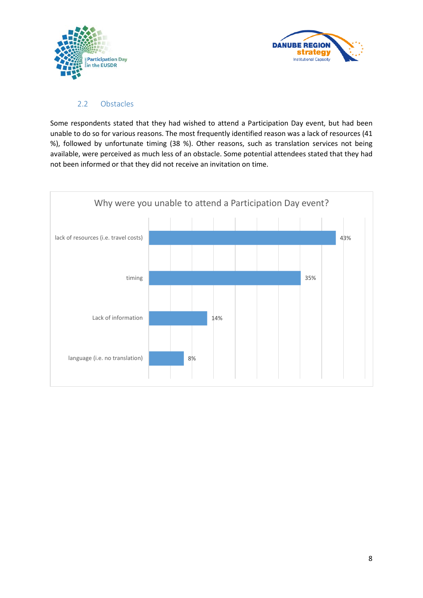



#### <span id="page-7-0"></span>2.2 Obstacles

Some respondents stated that they had wished to attend a Participation Day event, but had been unable to do so for various reasons. The most frequently identified reason was a lack of resources (41 %), followed by unfortunate timing (38 %). Other reasons, such as translation services not being available, were perceived as much less of an obstacle. Some potential attendees stated that they had not been informed or that they did not receive an invitation on time.

<span id="page-7-1"></span>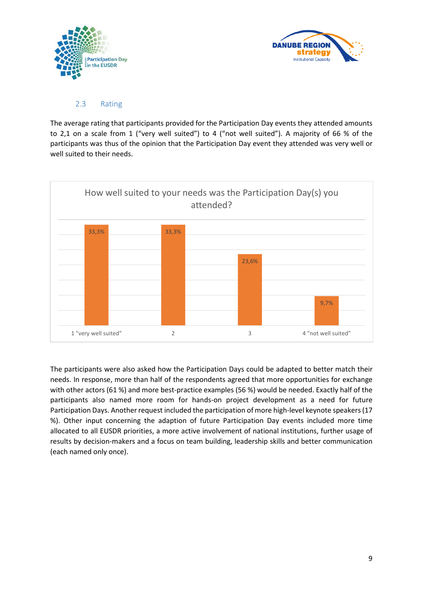



## 2.3 Rating

The average rating that participants provided for the Participation Day events they attended amounts to 2,1 on a scale from 1 ("very well suited") to 4 ("not well suited"). A majority of 66 % of the participants was thus of the opinion that the Participation Day event they attended was very well or well suited to their needs.



The participants were also asked how the Participation Days could be adapted to better match their needs. In response, more than half of the respondents agreed that more opportunities for exchange with other actors (61 %) and more best-practice examples (56 %) would be needed. Exactly half of the participants also named more room for hands-on project development as a need for future Participation Days. Another request included the participation of more high-level keynote speakers (17 %). Other input concerning the adaption of future Participation Day events included more time allocated to all EUSDR priorities, a more active involvement of national institutions, further usage of results by decision-makers and a focus on team building, leadership skills and better communication (each named only once).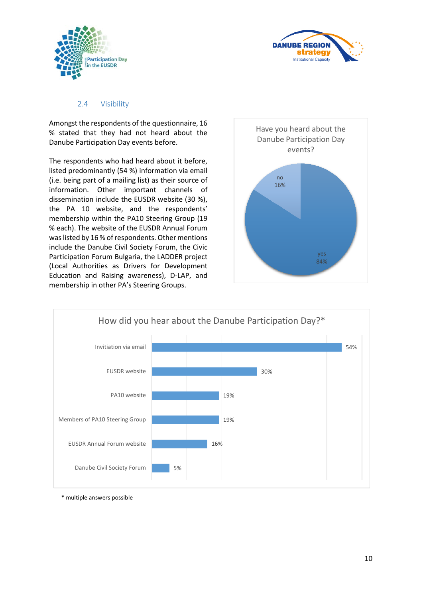



#### <span id="page-9-0"></span>2.4 Visibility

Amongst the respondents of the questionnaire, 16 % stated that they had not heard about the Danube Participation Day events before.

The respondents who had heard about it before, listed predominantly (54 %) information via email (i.e. being part of a mailing list) as their source of information. Other important channels of dissemination include the EUSDR website (30 %), the PA 10 website, and the respondents' membership within the PA10 Steering Group (19 % each). The website of the EUSDR Annual Forum was listed by 16 % of respondents. Other mentions include the Danube Civil Society Forum, the Civic Participation Forum Bulgaria, the LADDER project (Local Authorities as Drivers for Development Education and Raising awareness), D-LAP, and membership in other PA's Steering Groups.





\* multiple answers possible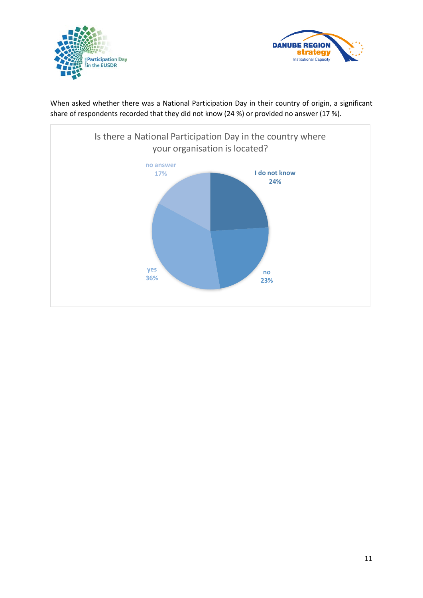



When asked whether there was a National Participation Day in their country of origin, a significant share of respondents recorded that they did not know (24 %) or provided no answer (17 %).

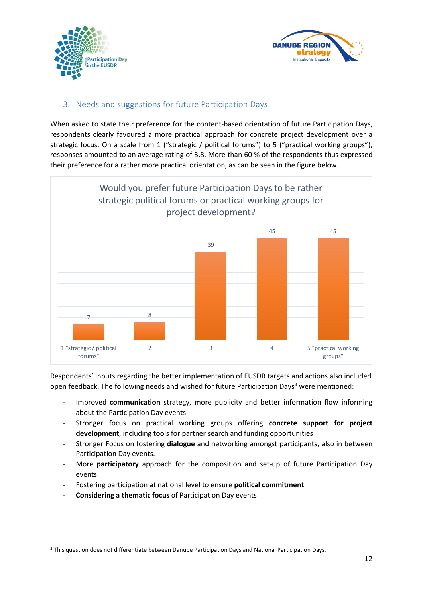



# <span id="page-11-0"></span>3. Needs and suggestions for future Participation Days

When asked to state their preference for the content-based orientation of future Participation Days, respondents clearly favoured a more practical approach for concrete project development over a strategic focus. On a scale from 1 ("strategic / political forums") to 5 ("practical working groups"), responses amounted to an average rating of 3.8. More than 60 % of the respondents thus expressed their preference for a rather more practical orientation, as can be seen in the figure below.



Respondents' inputs regarding the better implementation of EUSDR targets and actions also included open feedback. The following needs and wished for future Participation Days<sup>[4](#page-11-1)</sup> were mentioned:

- Improved **communication** strategy, more publicity and better information flow informing about the Participation Day events
- Stronger focus on practical working groups offering **concrete support for project development**, including tools for partner search and funding opportunities
- Stronger Focus on fostering **dialogue** and networking amongst participants, also in between Participation Day events.
- More **participatory** approach for the composition and set-up of future Participation Day events
- Fostering participation at national level to ensure **political commitment**
- **Considering a thematic focus** of Participation Day events

<span id="page-11-1"></span> <sup>4</sup> This question does not differentiate between Danube Participation Days and National Participation Days.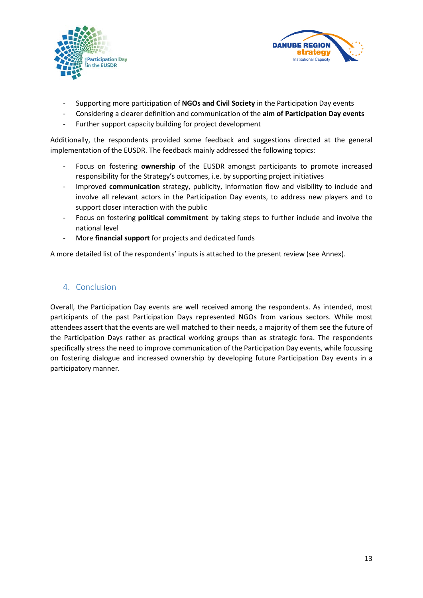



- Supporting more participation of **NGOs and Civil Society** in the Participation Day events
- Considering a clearer definition and communication of the **aim of Participation Day events**
- Further support capacity building for project development

Additionally, the respondents provided some feedback and suggestions directed at the general implementation of the EUSDR. The feedback mainly addressed the following topics:

- Focus on fostering **ownership** of the EUSDR amongst participants to promote increased responsibility for the Strategy's outcomes, i.e. by supporting project initiatives
- Improved **communication** strategy, publicity, information flow and visibility to include and involve all relevant actors in the Participation Day events, to address new players and to support closer interaction with the public
- Focus on fostering **political commitment** by taking steps to further include and involve the national level
- More **financial support** for projects and dedicated funds

A more detailed list of the respondents' inputs is attached to the present review (see Annex).

# <span id="page-12-0"></span>4. Conclusion

Overall, the Participation Day events are well received among the respondents. As intended, most participants of the past Participation Days represented NGOs from various sectors. While most attendees assert that the events are well matched to their needs, a majority of them see the future of the Participation Days rather as practical working groups than as strategic fora. The respondents specifically stress the need to improve communication of the Participation Day events, while focussing on fostering dialogue and increased ownership by developing future Participation Day events in a participatory manner.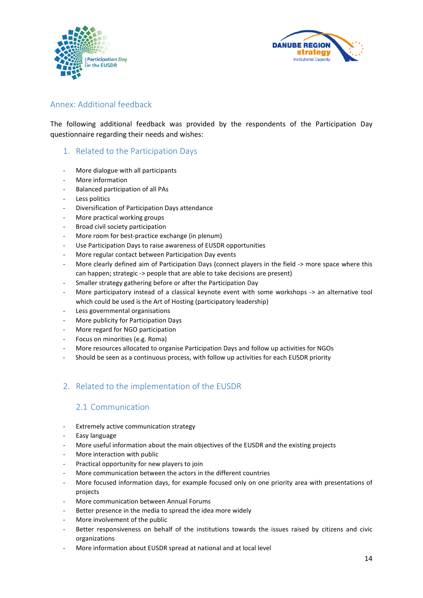



# <span id="page-13-0"></span>Annex: Additional feedback

The following additional feedback was provided by the respondents of the Participation Day questionnaire regarding their needs and wishes:

### 1. Related to the Participation Days

- More dialogue with all participants
- More information
- Balanced participation of all PAs
- Less politics
- Diversification of Participation Days attendance
- More practical working groups
- Broad civil society participation
- More room for best-practice exchange (in plenum)
- Use Participation Days to raise awareness of EUSDR opportunities
- More regular contact between Participation Day events
- More clearly defined aim of Participation Days (connect players in the field -> more space where this can happen; strategic -> people that are able to take decisions are present)
- Smaller strategy gathering before or after the Participation Day
- More participatory instead of a classical keynote event with some workshops -> an alternative tool which could be used is the Art of Hosting (participatory leadership)
- Less governmental organisations
- More publicity for Participation Days
- More regard for NGO participation
- Focus on minorities (e.g. Roma)
- More resources allocated to organise Participation Days and follow up activities for NGOs
- Should be seen as a continuous process, with follow up activities for each EUSDR priority

# 2. Related to the implementation of the EUSDR

## 2.1 Communication

- Extremely active communication strategy
- Easy language
- More useful information about the main objectives of the EUSDR and the existing projects
- More interaction with public
- Practical opportunity for new players to join
- More communication between the actors in the different countries
- More focused information days, for example focused only on one priority area with presentations of projects
- More communication between Annual Forums
- Better presence in the media to spread the idea more widely
- More involvement of the public
- Better responsiveness on behalf of the institutions towards the issues raised by citizens and civic organizations
- More information about EUSDR spread at national and at local level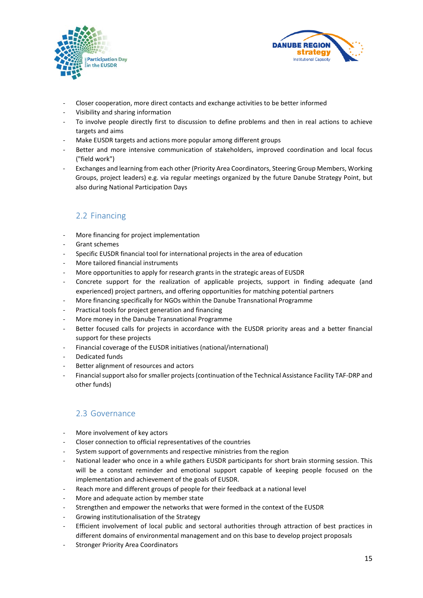



- Closer cooperation, more direct contacts and exchange activities to be better informed
- Visibility and sharing information
- To involve people directly first to discussion to define problems and then in real actions to achieve targets and aims
- Make EUSDR targets and actions more popular among different groups
- Better and more intensive communication of stakeholders, improved coordination and local focus ("field work")
- Exchanges and learning from each other (Priority Area Coordinators, Steering Group Members, Working Groups, project leaders) e.g. via regular meetings organized by the future Danube Strategy Point, but also during National Participation Days

# 2.2 Financing

- More financing for project implementation
- Grant schemes
- Specific EUSDR financial tool for international projects in the area of education
- More tailored financial instruments
- More opportunities to apply for research grants in the strategic areas of EUSDR
- Concrete support for the realization of applicable projects, support in finding adequate (and experienced) project partners, and offering opportunities for matching potential partners
- More financing specifically for NGOs within the Danube Transnational Programme
- Practical tools for project generation and financing
- More money in the Danube Transnational Programme
- Better focused calls for projects in accordance with the EUSDR priority areas and a better financial support for these projects
- Financial coverage of the EUSDR initiatives (national/international)
- Dedicated funds
- Better alignment of resources and actors
- Financial support also for smaller projects (continuation of the Technical Assistance Facility TAF-DRP and other funds)

# 2.3 Governance

- More involvement of key actors
- Closer connection to official representatives of the countries
- System support of governments and respective ministries from the region
- National leader who once in a while gathers EUSDR participants for short brain storming session. This will be a constant reminder and emotional support capable of keeping people focused on the implementation and achievement of the goals of EUSDR.
- Reach more and different groups of people for their feedback at a national level
- More and adequate action by member state
- Strengthen and empower the networks that were formed in the context of the EUSDR
- Growing institutionalisation of the Strategy
- Efficient involvement of local public and sectoral authorities through attraction of best practices in different domains of environmental management and on this base to develop project proposals
- Stronger Priority Area Coordinators